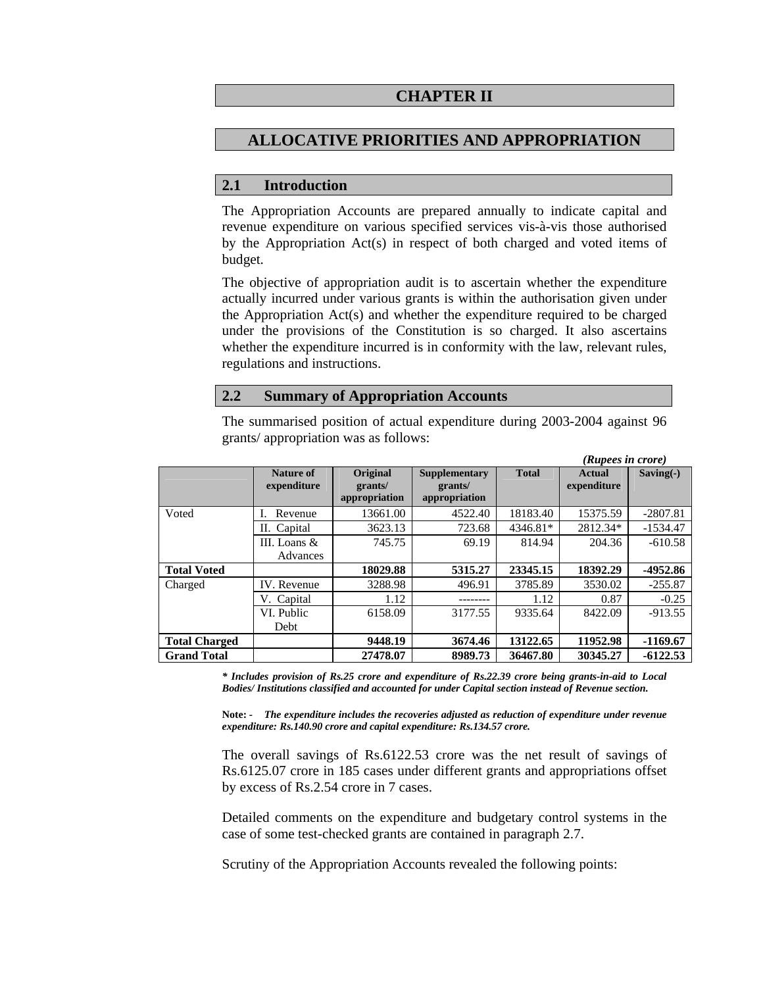# **CHAPTER II**

# **ALLOCATIVE PRIORITIES AND APPROPRIATION**

#### **2.1 Introduction**

The Appropriation Accounts are prepared annually to indicate capital and revenue expenditure on various specified services vis-à-vis those authorised by the Appropriation Act(s) in respect of both charged and voted items of budget.

The objective of appropriation audit is to ascertain whether the expenditure actually incurred under various grants is within the authorisation given under the Appropriation Act(s) and whether the expenditure required to be charged under the provisions of the Constitution is so charged. It also ascertains whether the expenditure incurred is in conformity with the law, relevant rules, regulations and instructions.

#### **2.2 Summary of Appropriation Accounts**

The summarised position of actual expenditure during 2003-2004 against 96 grants/ appropriation was as follows:

|                      |                            |                                      |                                                  |              | (Rupees in crore)     |             |
|----------------------|----------------------------|--------------------------------------|--------------------------------------------------|--------------|-----------------------|-------------|
|                      | Nature of<br>expenditure   | Original<br>grants/<br>appropriation | <b>Supplementary</b><br>grants/<br>appropriation | <b>Total</b> | Actual<br>expenditure | $Saving(-)$ |
| Voted                | Revenue                    | 13661.00                             | 4522.40                                          | 18183.40     | 15375.59              | $-2807.81$  |
|                      | II. Capital                | 3623.13                              | 723.68                                           | 4346.81*     | 2812.34*              | $-1534.47$  |
|                      | III. Loans $&$<br>Advances | 745.75                               | 69.19                                            | 814.94       | 204.36                | $-610.58$   |
| <b>Total Voted</b>   |                            | 18029.88                             | 5315.27                                          | 23345.15     | 18392.29              | -4952.86    |
| Charged              | IV. Revenue                | 3288.98                              | 496.91                                           | 3785.89      | 3530.02               | $-255.87$   |
|                      | V. Capital                 | 1.12                                 |                                                  | 1.12         | 0.87                  | $-0.25$     |
|                      | VI. Public                 | 6158.09                              | 3177.55                                          | 9335.64      | 8422.09               | $-913.55$   |
|                      | Debt                       |                                      |                                                  |              |                       |             |
| <b>Total Charged</b> |                            | 9448.19                              | 3674.46                                          | 13122.65     | 11952.98              | $-1169.67$  |
| <b>Grand Total</b>   |                            | 27478.07                             | 8989.73                                          | 36467.80     | 30345.27              | $-6122.53$  |

*\* Includes provision of Rs.25 crore and expenditure of Rs.22.39 crore being grants-in-aid to Local Bodies/ Institutions classified and accounted for under Capital section instead of Revenue section.* 

**Note:** *- The expenditure includes the recoveries adjusted as reduction of expenditure under revenue expenditure: Rs.140.90 crore and capital expenditure: Rs.134.57 crore.* 

The overall savings of Rs.6122.53 crore was the net result of savings of Rs.6125.07 crore in 185 cases under different grants and appropriations offset by excess of Rs.2.54 crore in 7 cases.

Detailed comments on the expenditure and budgetary control systems in the case of some test-checked grants are contained in paragraph 2.7.

Scrutiny of the Appropriation Accounts revealed the following points: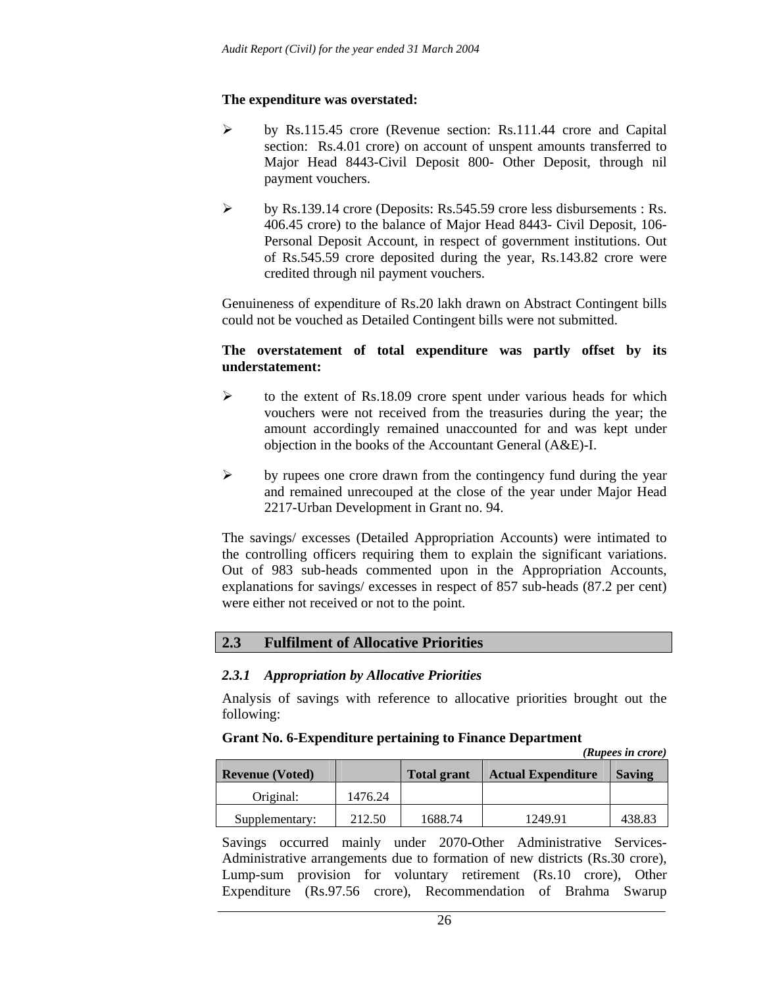# **The expenditure was overstated:**

- ¾ by Rs.115.45 crore (Revenue section: Rs.111.44 crore and Capital section: Rs.4.01 crore) on account of unspent amounts transferred to Major Head 8443-Civil Deposit 800- Other Deposit, through nil payment vouchers.
- ¾ by Rs.139.14 crore (Deposits: Rs.545.59 crore less disbursements : Rs. 406.45 crore) to the balance of Major Head 8443- Civil Deposit, 106- Personal Deposit Account, in respect of government institutions. Out of Rs.545.59 crore deposited during the year, Rs.143.82 crore were credited through nil payment vouchers.

Genuineness of expenditure of Rs.20 lakh drawn on Abstract Contingent bills could not be vouched as Detailed Contingent bills were not submitted.

# **The overstatement of total expenditure was partly offset by its understatement:**

- $\triangleright$  to the extent of Rs.18.09 crore spent under various heads for which vouchers were not received from the treasuries during the year; the amount accordingly remained unaccounted for and was kept under objection in the books of the Accountant General (A&E)-I.
- $\triangleright$  by rupees one crore drawn from the contingency fund during the year and remained unrecouped at the close of the year under Major Head 2217-Urban Development in Grant no. 94.

The savings/ excesses (Detailed Appropriation Accounts) were intimated to the controlling officers requiring them to explain the significant variations. Out of 983 sub-heads commented upon in the Appropriation Accounts, explanations for savings/ excesses in respect of 857 sub-heads (87.2 per cent) were either not received or not to the point.

# **2.3 Fulfilment of Allocative Priorities**

# *2.3.1 Appropriation by Allocative Priorities*

Analysis of savings with reference to allocative priorities brought out the following:

#### **Grant No. 6-Expenditure pertaining to Finance Department**  *(Rupees in crore)*

|                        |         |                    |                           | (Kupees in crore) |
|------------------------|---------|--------------------|---------------------------|-------------------|
| <b>Revenue (Voted)</b> |         | <b>Total grant</b> | <b>Actual Expenditure</b> | <b>Saving</b>     |
| Original:              | 1476.24 |                    |                           |                   |
| Supplementary:         | 212.50  | 1688.74            | 1249.91                   | 438.83            |

Savings occurred mainly under 2070-Other Administrative Services-Administrative arrangements due to formation of new districts (Rs.30 crore), Lump-sum provision for voluntary retirement (Rs.10 crore), Other Expenditure (Rs.97.56 crore), Recommendation of Brahma Swarup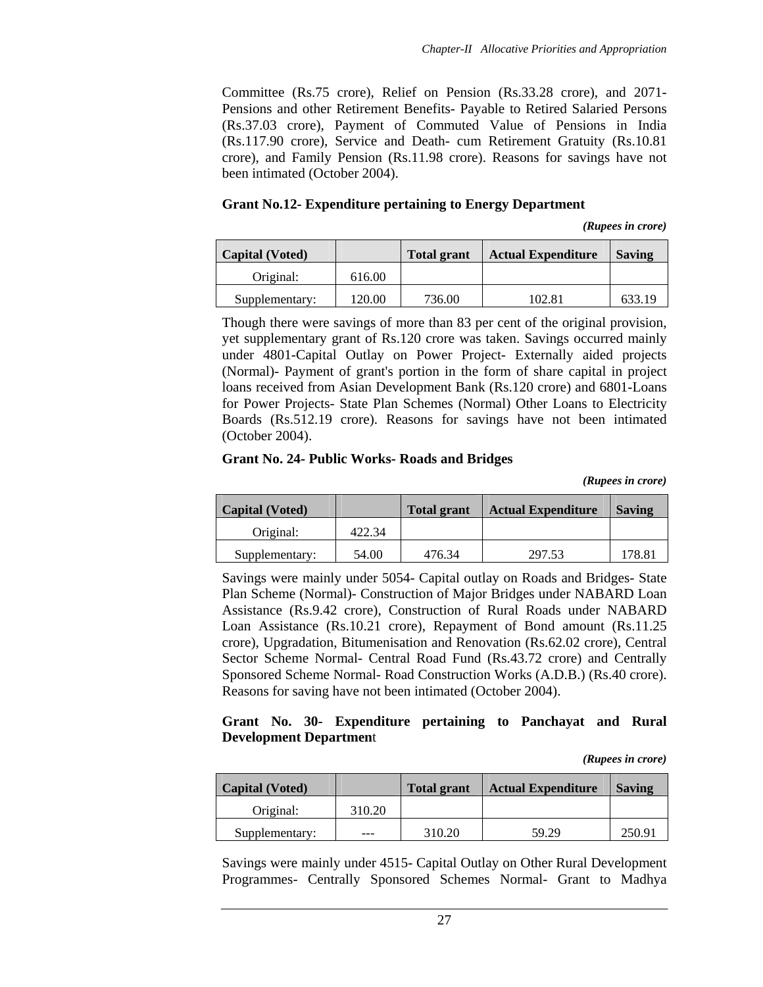Committee (Rs.75 crore), Relief on Pension (Rs.33.28 crore), and 2071- Pensions and other Retirement Benefits- Payable to Retired Salaried Persons (Rs.37.03 crore), Payment of Commuted Value of Pensions in India (Rs.117.90 crore), Service and Death- cum Retirement Gratuity (Rs.10.81 crore), and Family Pension (Rs.11.98 crore). Reasons for savings have not been intimated (October 2004).

### **Grant No.12- Expenditure pertaining to Energy Department**

*(Rupees in crore)* 

| <b>Capital</b> (Voted) |        | <b>Total grant</b> | <b>Actual Expenditure</b> | <b>Saving</b> |
|------------------------|--------|--------------------|---------------------------|---------------|
| Original:              | 616.00 |                    |                           |               |
| Supplementary:         | 120.00 | 736.00             | 102.81                    | 633.19        |

Though there were savings of more than 83 per cent of the original provision, yet supplementary grant of Rs.120 crore was taken. Savings occurred mainly under 4801-Capital Outlay on Power Project- Externally aided projects (Normal)- Payment of grant's portion in the form of share capital in project loans received from Asian Development Bank (Rs.120 crore) and 6801-Loans for Power Projects- State Plan Schemes (Normal) Other Loans to Electricity Boards (Rs.512.19 crore). Reasons for savings have not been intimated (October 2004).

### **Grant No. 24- Public Works- Roads and Bridges**

*(Rupees in crore)*

| <b>Capital</b> (Voted) |        | <b>Total grant</b> | <b>Actual Expenditure</b> | <b>Saving</b> |
|------------------------|--------|--------------------|---------------------------|---------------|
| Original:              | 422.34 |                    |                           |               |
| Supplementary:         | 54.00  | 476.34             | 297.53                    | 178.81        |

Savings were mainly under 5054- Capital outlay on Roads and Bridges- State Plan Scheme (Normal)- Construction of Major Bridges under NABARD Loan Assistance (Rs.9.42 crore), Construction of Rural Roads under NABARD Loan Assistance (Rs.10.21 crore), Repayment of Bond amount (Rs.11.25 crore), Upgradation, Bitumenisation and Renovation (Rs.62.02 crore), Central Sector Scheme Normal- Central Road Fund (Rs.43.72 crore) and Centrally Sponsored Scheme Normal- Road Construction Works (A.D.B.) (Rs.40 crore). Reasons for saving have not been intimated (October 2004).

### **Grant No. 30- Expenditure pertaining to Panchayat and Rural Development Departmen**t

*(Rupees in crore)* 

| <b>Capital</b> (Voted) |        | <b>Total grant</b> | <b>Actual Expenditure</b> | <b>Saving</b> |
|------------------------|--------|--------------------|---------------------------|---------------|
| Original:              | 310.20 |                    |                           |               |
| Supplementary:         |        | 310.20             | 59.29                     | 250.91        |

Savings were mainly under 4515- Capital Outlay on Other Rural Development Programmes- Centrally Sponsored Schemes Normal- Grant to Madhya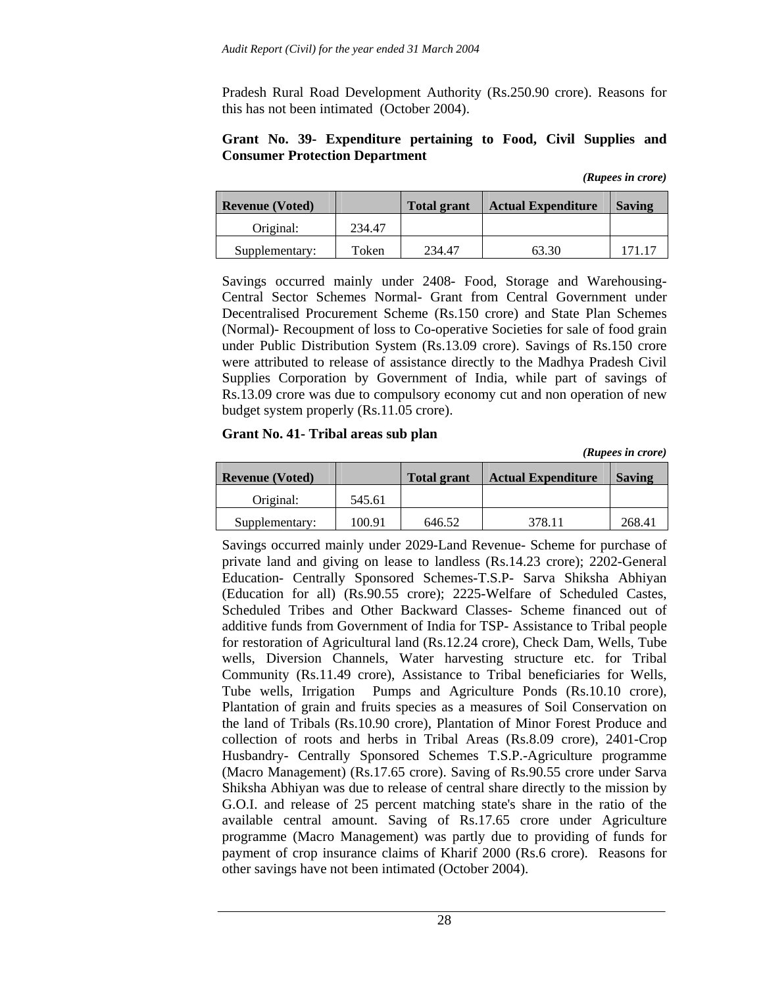Pradesh Rural Road Development Authority (Rs.250.90 crore). Reasons for this has not been intimated (October 2004).

### **Grant No. 39- Expenditure pertaining to Food, Civil Supplies and Consumer Protection Department**

| (Rupees in crore) |  |
|-------------------|--|
|                   |  |

| <b>Revenue (Voted)</b> |        | <b>Total grant</b> | <b>Actual Expenditure</b> | <b>Saving</b> |
|------------------------|--------|--------------------|---------------------------|---------------|
| Original:              | 234.47 |                    |                           |               |
| Supplementary:         | Token  | 234.47             | 63.30                     | 171.17        |

Savings occurred mainly under 2408- Food, Storage and Warehousing-Central Sector Schemes Normal- Grant from Central Government under Decentralised Procurement Scheme (Rs.150 crore) and State Plan Schemes (Normal)- Recoupment of loss to Co-operative Societies for sale of food grain under Public Distribution System (Rs.13.09 crore). Savings of Rs.150 crore were attributed to release of assistance directly to the Madhya Pradesh Civil Supplies Corporation by Government of India, while part of savings of Rs.13.09 crore was due to compulsory economy cut and non operation of new budget system properly (Rs.11.05 crore).

#### **Grant No. 41- Tribal areas sub plan**

*(Rupees in crore)* 

| <b>Revenue (Voted)</b> |        | <b>Total grant</b> | <b>Actual Expenditure</b> | <b>Saving</b> |
|------------------------|--------|--------------------|---------------------------|---------------|
| Original:              | 545.61 |                    |                           |               |
| Supplementary:         | 100.91 | 646.52             | 378.11                    | 268.41        |

Savings occurred mainly under 2029-Land Revenue- Scheme for purchase of private land and giving on lease to landless (Rs.14.23 crore); 2202-General Education- Centrally Sponsored Schemes-T.S.P- Sarva Shiksha Abhiyan (Education for all) (Rs.90.55 crore); 2225-Welfare of Scheduled Castes, Scheduled Tribes and Other Backward Classes- Scheme financed out of additive funds from Government of India for TSP- Assistance to Tribal people for restoration of Agricultural land (Rs.12.24 crore), Check Dam, Wells, Tube wells, Diversion Channels, Water harvesting structure etc. for Tribal Community (Rs.11.49 crore), Assistance to Tribal beneficiaries for Wells, Tube wells, Irrigation Pumps and Agriculture Ponds (Rs.10.10 crore), Plantation of grain and fruits species as a measures of Soil Conservation on the land of Tribals (Rs.10.90 crore), Plantation of Minor Forest Produce and collection of roots and herbs in Tribal Areas (Rs.8.09 crore), 2401-Crop Husbandry- Centrally Sponsored Schemes T.S.P.-Agriculture programme (Macro Management) (Rs.17.65 crore). Saving of Rs.90.55 crore under Sarva Shiksha Abhiyan was due to release of central share directly to the mission by G.O.I. and release of 25 percent matching state's share in the ratio of the available central amount. Saving of Rs.17.65 crore under Agriculture programme (Macro Management) was partly due to providing of funds for payment of crop insurance claims of Kharif 2000 (Rs.6 crore). Reasons for other savings have not been intimated (October 2004).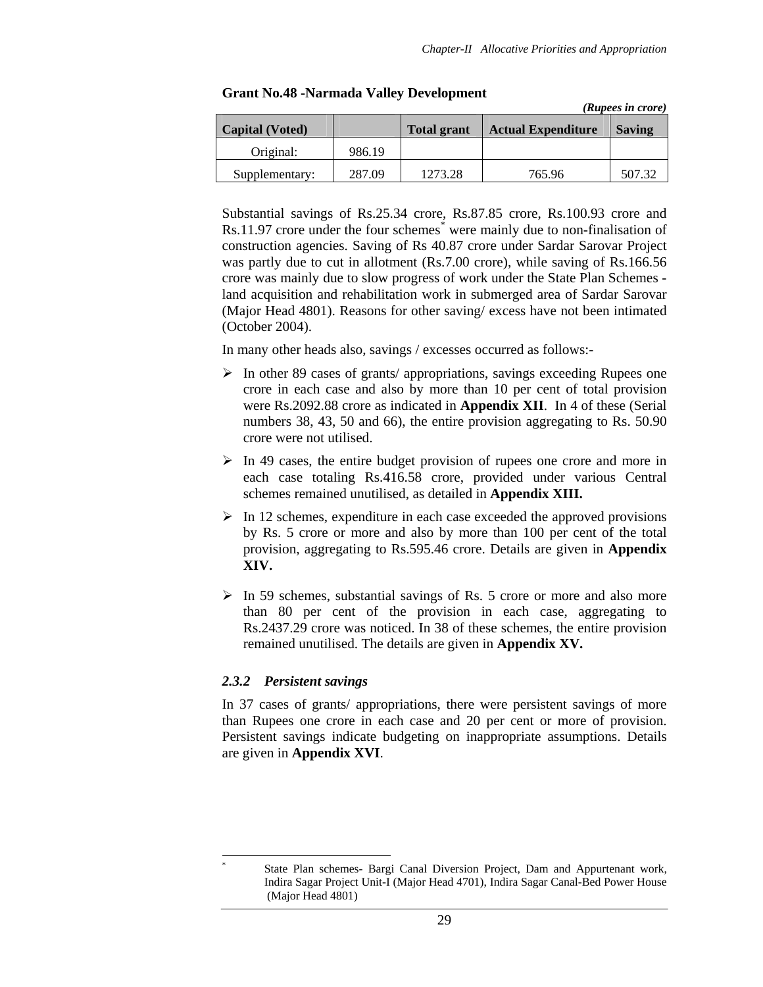*(Rupees in crore)* 

| <b>Capital</b> (Voted) |        | <b>Total grant</b> | <b>Actual Expenditure</b> | <b>Saving</b> |
|------------------------|--------|--------------------|---------------------------|---------------|
| Original:              | 986.19 |                    |                           |               |
| Supplementary:         | 287.09 | 1273.28            | 765.96                    | 507.32        |

#### **Grant No.48 -Narmada Valley Development**

Substantial savings of Rs.25.34 crore, Rs.87.85 crore, Rs.100.93 crore and Rs.11.97 crore under the four schemes<sup>\*</sup> were mainly due to non-finalisation of construction agencies. Saving of Rs 40.87 crore under Sardar Sarovar Project was partly due to cut in allotment (Rs.7.00 crore), while saving of Rs.166.56 crore was mainly due to slow progress of work under the State Plan Schemes land acquisition and rehabilitation work in submerged area of Sardar Sarovar (Major Head 4801). Reasons for other saving/ excess have not been intimated (October 2004).

In many other heads also, savings / excesses occurred as follows:-

- ¾ In other 89 cases of grants/ appropriations, savings exceeding Rupees one crore in each case and also by more than 10 per cent of total provision were Rs.2092.88 crore as indicated in **Appendix XII**. In 4 of these (Serial numbers 38, 43, 50 and 66), the entire provision aggregating to Rs. 50.90 crore were not utilised.
- $\triangleright$  In 49 cases, the entire budget provision of rupees one crore and more in each case totaling Rs.416.58 crore, provided under various Central schemes remained unutilised, as detailed in **Appendix XIII.**
- $\triangleright$  In 12 schemes, expenditure in each case exceeded the approved provisions by Rs. 5 crore or more and also by more than 100 per cent of the total provision, aggregating to Rs.595.46 crore. Details are given in **Appendix XIV.**
- $\triangleright$  In 59 schemes, substantial savings of Rs. 5 crore or more and also more than 80 per cent of the provision in each case, aggregating to Rs.2437.29 crore was noticed. In 38 of these schemes, the entire provision remained unutilised. The details are given in **Appendix XV.**

# *2.3.2 Persistent savings*

 $\overline{a}$ \*

In 37 cases of grants/ appropriations, there were persistent savings of more than Rupees one crore in each case and 20 per cent or more of provision. Persistent savings indicate budgeting on inappropriate assumptions. Details are given in **Appendix XVI**.

State Plan schemes- Bargi Canal Diversion Project, Dam and Appurtenant work, Indira Sagar Project Unit-I (Major Head 4701), Indira Sagar Canal-Bed Power House (Major Head 4801)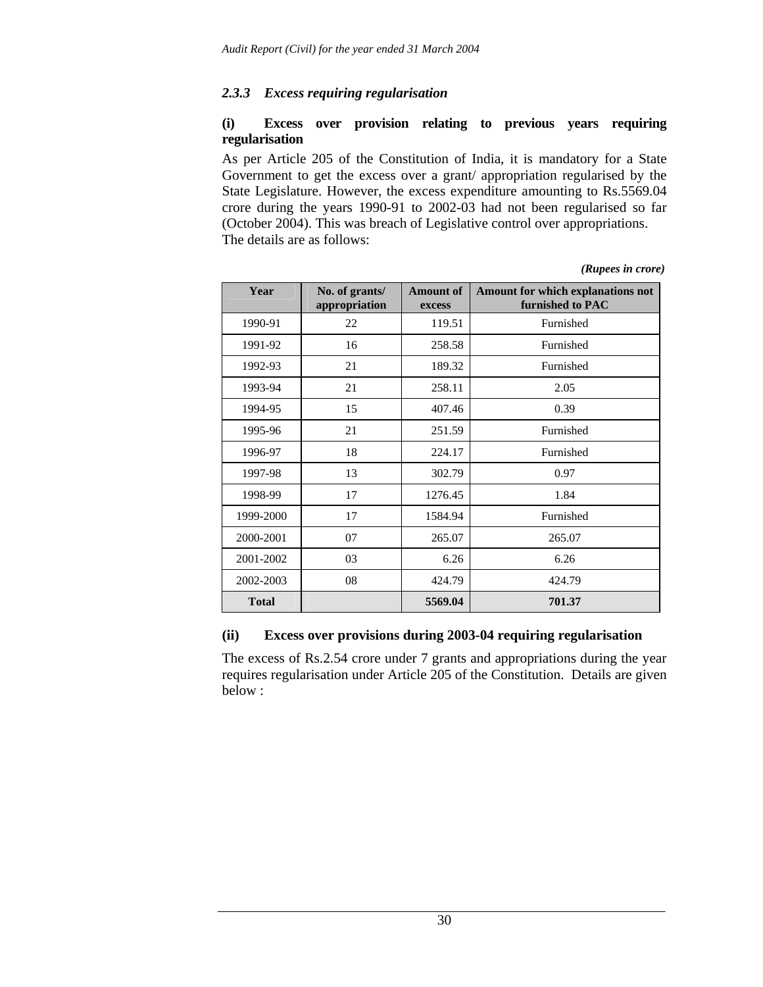# *2.3.3 Excess requiring regularisation*

# **(i) Excess over provision relating to previous years requiring regularisation**

As per Article 205 of the Constitution of India, it is mandatory for a State Government to get the excess over a grant/ appropriation regularised by the State Legislature. However, the excess expenditure amounting to Rs.5569.04 crore during the years 1990-91 to 2002-03 had not been regularised so far (October 2004). This was breach of Legislative control over appropriations. The details are as follows:

| Year         | No. of grants/<br>appropriation | <b>Amount of</b><br>excess | Amount for which explanations not<br>furnished to PAC |
|--------------|---------------------------------|----------------------------|-------------------------------------------------------|
| 1990-91      | 22                              | 119.51                     | Furnished                                             |
| 1991-92      | 16                              | 258.58                     | Furnished                                             |
| 1992-93      | 21                              | 189.32                     | Furnished                                             |
| 1993-94      | 21                              | 258.11                     | 2.05                                                  |
| 1994-95      | 15                              | 407.46                     | 0.39                                                  |
| 1995-96      | 21                              | 251.59                     | Furnished                                             |
| 1996-97      | 18                              | 224.17                     | Furnished                                             |
| 1997-98      | 13                              | 302.79                     | 0.97                                                  |
| 1998-99      | 17                              | 1276.45                    | 1.84                                                  |
| 1999-2000    | 17                              | 1584.94                    | Furnished                                             |
| 2000-2001    | 07                              | 265.07                     | 265.07                                                |
| 2001-2002    | 03                              | 6.26                       | 6.26                                                  |
| 2002-2003    | 08                              | 424.79                     | 424.79                                                |
| <b>Total</b> |                                 | 5569.04                    | 701.37                                                |

*(Rupees in crore)* 

# **(ii) Excess over provisions during 2003-04 requiring regularisation**

The excess of Rs.2.54 crore under 7 grants and appropriations during the year requires regularisation under Article 205 of the Constitution. Details are given below :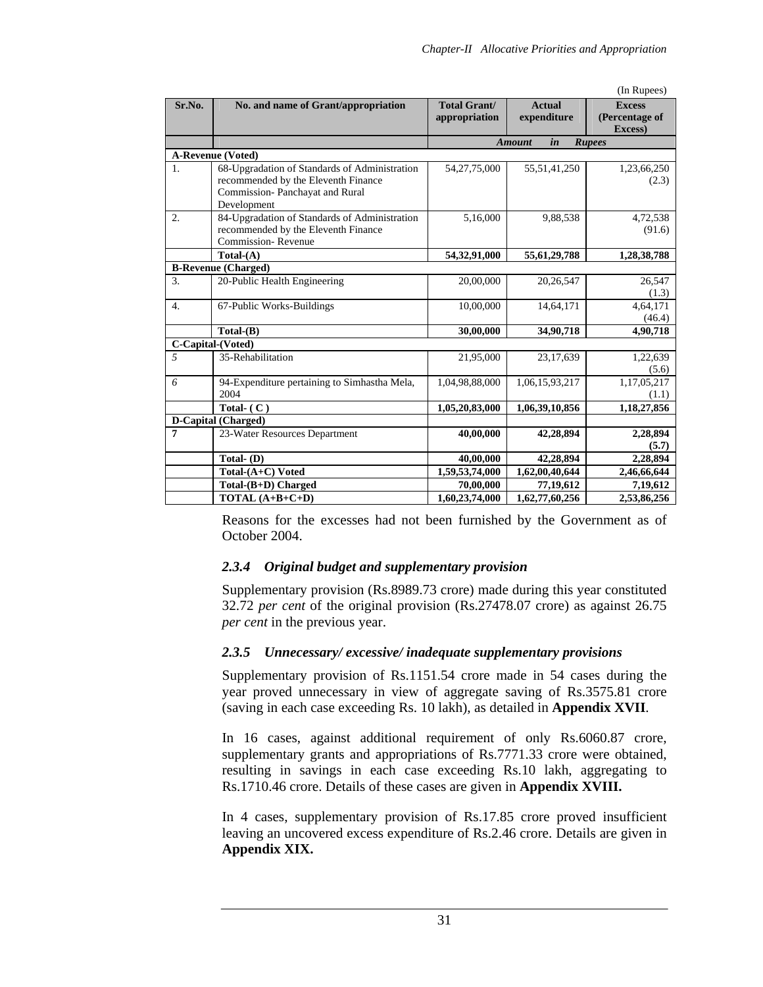|                  |                                                                       |                     |                     | (In Rupees)               |
|------------------|-----------------------------------------------------------------------|---------------------|---------------------|---------------------------|
| Sr.No.           | No. and name of Grant/appropriation                                   | <b>Total Grant/</b> | <b>Actual</b>       | <b>Excess</b>             |
|                  |                                                                       | appropriation       | expenditure         | (Percentage of<br>Excess) |
|                  |                                                                       |                     | in<br><b>Amount</b> |                           |
|                  |                                                                       |                     |                     | <b>Rupees</b>             |
|                  | <b>A-Revenue (Voted)</b>                                              |                     |                     |                           |
| 1.               | 68-Upgradation of Standards of Administration                         | 54, 27, 75, 000     | 55,51,41,250        | 1,23,66,250               |
|                  | recommended by the Eleventh Finance<br>Commission-Panchayat and Rural |                     |                     | (2.3)                     |
|                  | Development                                                           |                     |                     |                           |
| 2.               | 84-Upgradation of Standards of Administration                         | 5,16,000            | 9,88,538            | 4,72,538                  |
|                  | recommended by the Eleventh Finance                                   |                     |                     | (91.6)                    |
|                  | Commission-Revenue                                                    |                     |                     |                           |
|                  | $Total-(A)$                                                           | 54,32,91,000        | 55, 61, 29, 788     | 1,28,38,788               |
|                  | <b>B-Revenue (Charged)</b>                                            |                     |                     |                           |
| 3.               | 20-Public Health Engineering                                          | 20,00,000           | 20,26,547           | 26,547                    |
|                  |                                                                       |                     |                     | (1.3)                     |
| $\overline{4}$ . | 67-Public Works-Buildings                                             | 10,00,000           | 14,64,171           | 4,64,171                  |
|                  |                                                                       |                     |                     | (46.4)                    |
|                  | $Total-B)$                                                            | 30,00,000           | 34,90,718           | 4,90,718                  |
|                  | C-Capital-(Voted)                                                     |                     |                     |                           |
| 5                | 35-Rehabilitation                                                     | 21,95,000           | 23,17,639           | 1,22,639                  |
|                  |                                                                       |                     |                     | (5.6)                     |
| 6                | 94-Expenditure pertaining to Simhastha Mela,                          | 1,04,98,88,000      | 1,06,15,93,217      | 1,17,05,217               |
|                  | 2004                                                                  |                     |                     | (1.1)                     |
|                  | Total- $(C)$                                                          | 1,05,20,83,000      | 1,06,39,10,856      | 1,18,27,856               |
|                  | D-Capital (Charged)                                                   |                     |                     |                           |
| $\overline{7}$   | 23-Water Resources Department                                         | 40,00,000           | 42,28,894           | 2,28,894                  |
|                  |                                                                       |                     |                     | (5.7)                     |
|                  | Total-(D)                                                             | 40,00,000           | 42,28,894           | 2,28,894                  |
|                  | Total-(A+C) Voted                                                     | 1,59,53,74,000      | 1,62,00,40,644      | 2,46,66,644               |
|                  | $Total-(B+D)$ Charged                                                 | 70,00,000           | 77,19,612           | 7,19,612                  |
|                  | TOTAL $(A+B+C+D)$                                                     | 1,60,23,74,000      | 1,62,77,60,256      | 2,53,86,256               |

Reasons for the excesses had not been furnished by the Government as of October 2004.

# *2.3.4 Original budget and supplementary provision*

Supplementary provision (Rs.8989.73 crore) made during this year constituted 32.72 *per cent* of the original provision (Rs.27478.07 crore) as against 26.75 *per cent* in the previous year.

# *2.3.5 Unnecessary/ excessive/ inadequate supplementary provisions*

Supplementary provision of Rs.1151.54 crore made in 54 cases during the year proved unnecessary in view of aggregate saving of Rs.3575.81 crore (saving in each case exceeding Rs. 10 lakh), as detailed in **Appendix XVII**.

In 16 cases, against additional requirement of only Rs.6060.87 crore, supplementary grants and appropriations of Rs.7771.33 crore were obtained, resulting in savings in each case exceeding Rs.10 lakh, aggregating to Rs.1710.46 crore. Details of these cases are given in **Appendix XVIII.**

In 4 cases, supplementary provision of Rs.17.85 crore proved insufficient leaving an uncovered excess expenditure of Rs.2.46 crore. Details are given in **Appendix XIX.**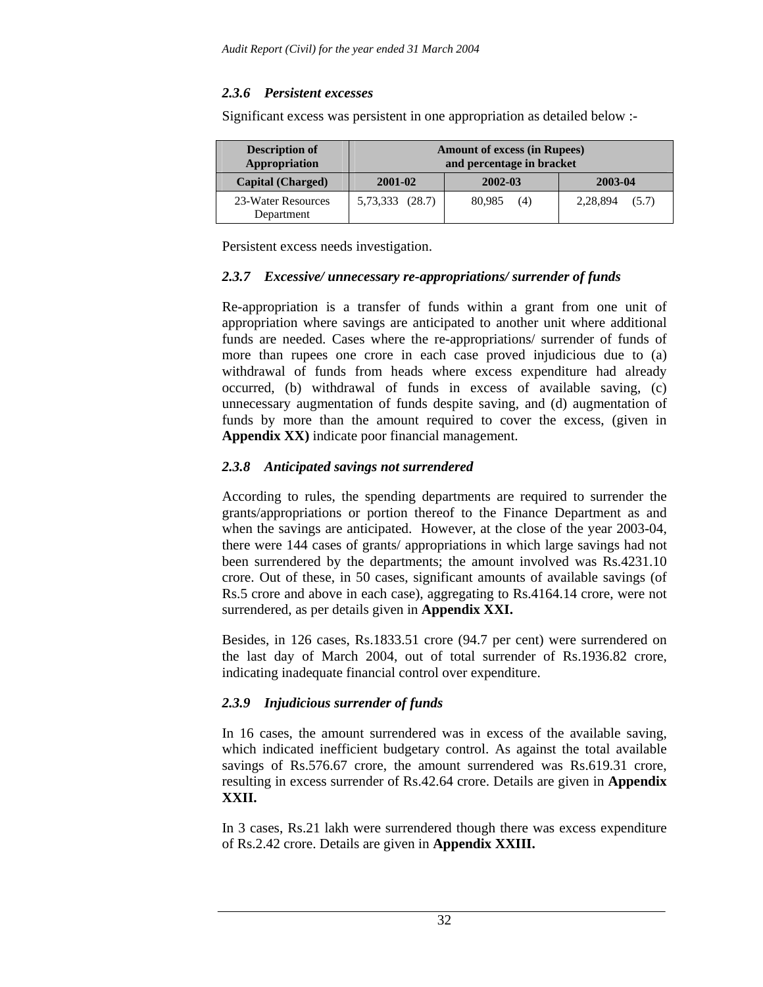# *2.3.6 Persistent excesses*

Significant excess was persistent in one appropriation as detailed below :-

| <b>Description of</b><br>Appropriation |                 | <b>Amount of excess (in Rupees)</b><br>and percentage in bracket |                   |  |
|----------------------------------------|-----------------|------------------------------------------------------------------|-------------------|--|
| <b>Capital (Charged)</b>               | 2001-02         | 2002-03                                                          | 2003-04           |  |
| 23-Water Resources<br>Department       | 5,73,333 (28.7) | 80,985<br>(4)                                                    | 2,28,894<br>(5.7) |  |

Persistent excess needs investigation.

# *2.3.7 Excessive/ unnecessary re-appropriations/ surrender of funds*

Re-appropriation is a transfer of funds within a grant from one unit of appropriation where savings are anticipated to another unit where additional funds are needed. Cases where the re-appropriations/ surrender of funds of more than rupees one crore in each case proved injudicious due to (a) withdrawal of funds from heads where excess expenditure had already occurred, (b) withdrawal of funds in excess of available saving, (c) unnecessary augmentation of funds despite saving, and (d) augmentation of funds by more than the amount required to cover the excess, (given in **Appendix XX)** indicate poor financial management.

# *2.3.8 Anticipated savings not surrendered*

According to rules, the spending departments are required to surrender the grants/appropriations or portion thereof to the Finance Department as and when the savings are anticipated. However, at the close of the year 2003-04, there were 144 cases of grants/ appropriations in which large savings had not been surrendered by the departments; the amount involved was Rs.4231.10 crore. Out of these, in 50 cases, significant amounts of available savings (of Rs.5 crore and above in each case), aggregating to Rs.4164.14 crore, were not surrendered, as per details given in **Appendix XXI.**

Besides, in 126 cases, Rs.1833.51 crore (94.7 per cent) were surrendered on the last day of March 2004, out of total surrender of Rs.1936.82 crore, indicating inadequate financial control over expenditure.

# *2.3.9 Injudicious surrender of funds*

In 16 cases, the amount surrendered was in excess of the available saving, which indicated inefficient budgetary control. As against the total available savings of Rs.576.67 crore, the amount surrendered was Rs.619.31 crore, resulting in excess surrender of Rs.42.64 crore. Details are given in **Appendix XXII.** 

In 3 cases, Rs.21 lakh were surrendered though there was excess expenditure of Rs.2.42 crore. Details are given in **Appendix XXIII.**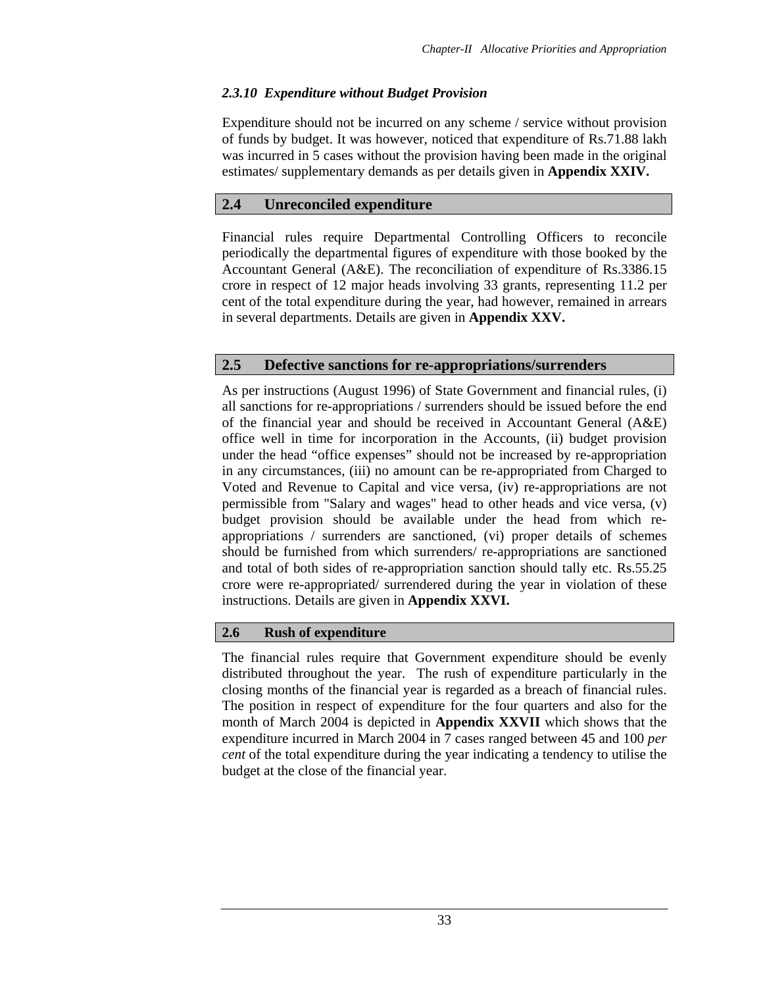# *2.3.10 Expenditure without Budget Provision*

Expenditure should not be incurred on any scheme / service without provision of funds by budget. It was however, noticed that expenditure of Rs.71.88 lakh was incurred in 5 cases without the provision having been made in the original estimates/ supplementary demands as per details given in **Appendix XXIV.** 

# **2.4 Unreconciled expenditure**

Financial rules require Departmental Controlling Officers to reconcile periodically the departmental figures of expenditure with those booked by the Accountant General (A&E). The reconciliation of expenditure of Rs.3386.15 crore in respect of 12 major heads involving 33 grants, representing 11.2 per cent of the total expenditure during the year, had however, remained in arrears in several departments. Details are given in **Appendix XXV.** 

# **2.5 Defective sanctions for re-appropriations/surrenders**

As per instructions (August 1996) of State Government and financial rules, (i) all sanctions for re-appropriations / surrenders should be issued before the end of the financial year and should be received in Accountant General (A&E) office well in time for incorporation in the Accounts, (ii) budget provision under the head "office expenses" should not be increased by re-appropriation in any circumstances, (iii) no amount can be re-appropriated from Charged to Voted and Revenue to Capital and vice versa, (iv) re-appropriations are not permissible from "Salary and wages" head to other heads and vice versa, (v) budget provision should be available under the head from which reappropriations / surrenders are sanctioned, (vi) proper details of schemes should be furnished from which surrenders/ re-appropriations are sanctioned and total of both sides of re-appropriation sanction should tally etc. Rs.55.25 crore were re-appropriated/ surrendered during the year in violation of these instructions. Details are given in **Appendix XXVI.** 

# **2.6 Rush of expenditure**

The financial rules require that Government expenditure should be evenly distributed throughout the year. The rush of expenditure particularly in the closing months of the financial year is regarded as a breach of financial rules. The position in respect of expenditure for the four quarters and also for the month of March 2004 is depicted in **Appendix XXVII** which shows that the expenditure incurred in March 2004 in 7 cases ranged between 45 and 100 *per cent* of the total expenditure during the year indicating a tendency to utilise the budget at the close of the financial year.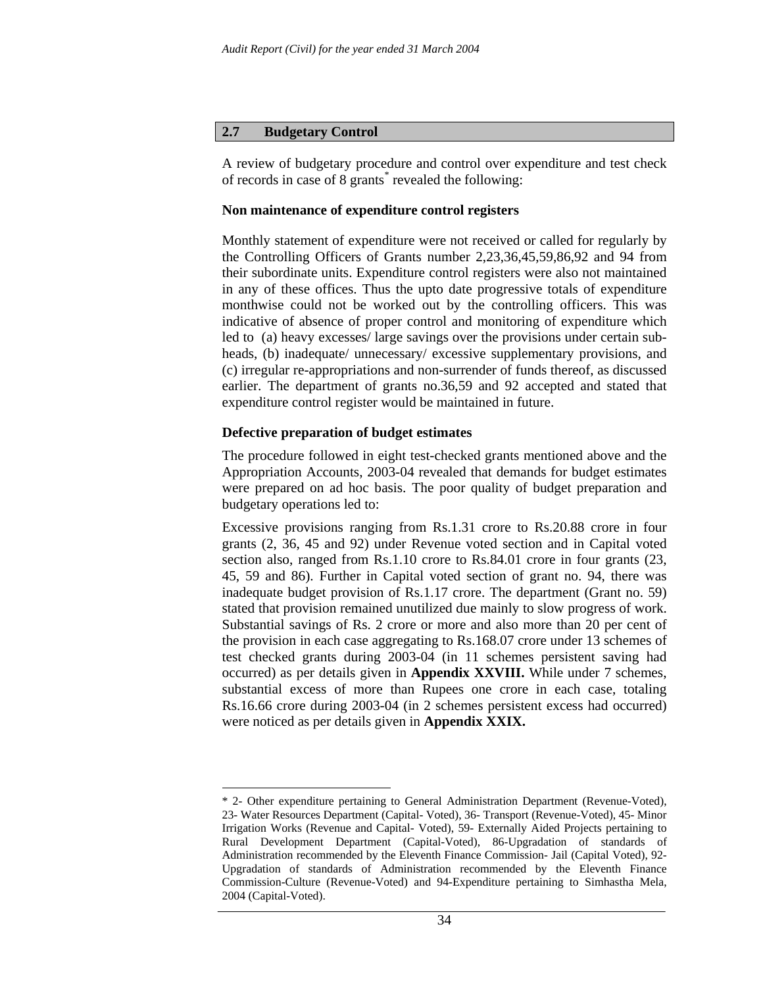#### **2.7 Budgetary Control**

A review of budgetary procedure and control over expenditure and test check of records in case of 8 grants<sup>\*</sup> revealed the following:

#### **Non maintenance of expenditure control registers**

Monthly statement of expenditure were not received or called for regularly by the Controlling Officers of Grants number 2,23,36,45,59,86,92 and 94 from their subordinate units. Expenditure control registers were also not maintained in any of these offices. Thus the upto date progressive totals of expenditure monthwise could not be worked out by the controlling officers. This was indicative of absence of proper control and monitoring of expenditure which led to (a) heavy excesses/ large savings over the provisions under certain subheads, (b) inadequate/ unnecessary/ excessive supplementary provisions, and (c) irregular re-appropriations and non-surrender of funds thereof, as discussed earlier. The department of grants no.36,59 and 92 accepted and stated that expenditure control register would be maintained in future.

#### **Defective preparation of budget estimates**

 $\overline{a}$ 

The procedure followed in eight test-checked grants mentioned above and the Appropriation Accounts, 2003-04 revealed that demands for budget estimates were prepared on ad hoc basis. The poor quality of budget preparation and budgetary operations led to:

Excessive provisions ranging from Rs.1.31 crore to Rs.20.88 crore in four grants (2, 36, 45 and 92) under Revenue voted section and in Capital voted section also, ranged from Rs.1.10 crore to Rs.84.01 crore in four grants (23, 45, 59 and 86). Further in Capital voted section of grant no. 94, there was inadequate budget provision of Rs.1.17 crore. The department (Grant no. 59) stated that provision remained unutilized due mainly to slow progress of work. Substantial savings of Rs. 2 crore or more and also more than 20 per cent of the provision in each case aggregating to Rs.168.07 crore under 13 schemes of test checked grants during 2003-04 (in 11 schemes persistent saving had occurred) as per details given in **Appendix XXVIII.** While under 7 schemes, substantial excess of more than Rupees one crore in each case, totaling Rs.16.66 crore during 2003-04 (in 2 schemes persistent excess had occurred) were noticed as per details given in **Appendix XXIX.** 

<sup>\* 2-</sup> Other expenditure pertaining to General Administration Department (Revenue-Voted), 23- Water Resources Department (Capital- Voted), 36- Transport (Revenue-Voted), 45- Minor Irrigation Works (Revenue and Capital- Voted), 59- Externally Aided Projects pertaining to Rural Development Department (Capital-Voted), 86-Upgradation of standards of Administration recommended by the Eleventh Finance Commission- Jail (Capital Voted), 92- Upgradation of standards of Administration recommended by the Eleventh Finance Commission-Culture (Revenue-Voted) and 94-Expenditure pertaining to Simhastha Mela, 2004 (Capital-Voted).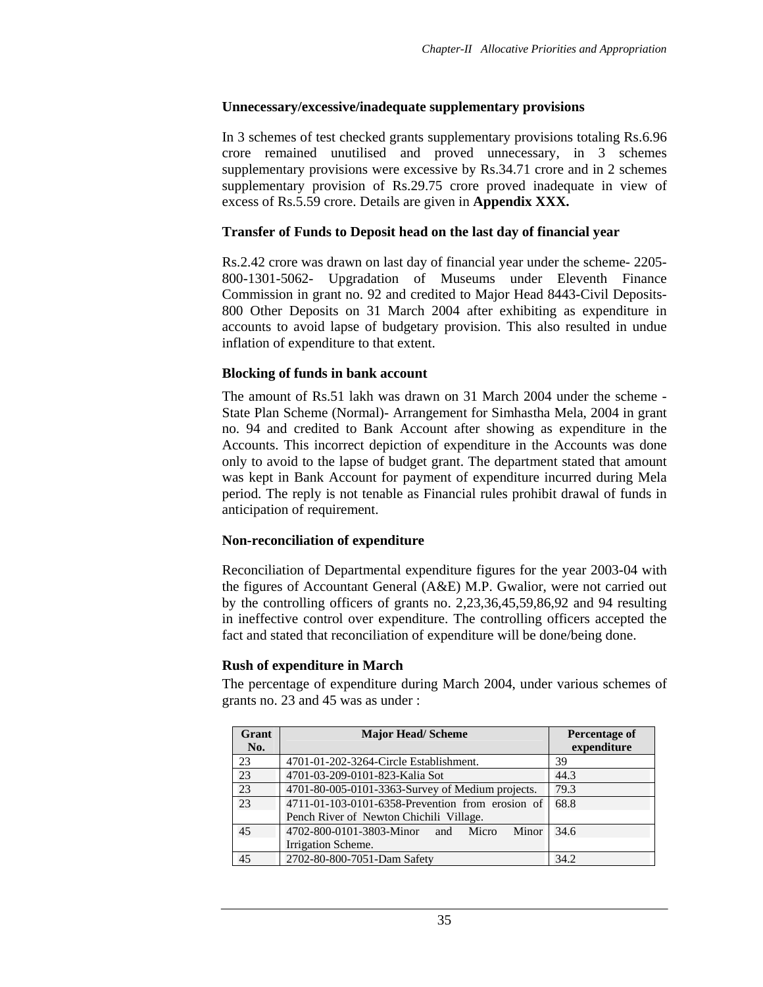# **Unnecessary/excessive/inadequate supplementary provisions**

In 3 schemes of test checked grants supplementary provisions totaling Rs.6.96 crore remained unutilised and proved unnecessary, in 3 schemes supplementary provisions were excessive by Rs.34.71 crore and in 2 schemes supplementary provision of Rs.29.75 crore proved inadequate in view of excess of Rs.5.59 crore. Details are given in **Appendix XXX.** 

### **Transfer of Funds to Deposit head on the last day of financial year**

Rs.2.42 crore was drawn on last day of financial year under the scheme- 2205- 800-1301-5062- Upgradation of Museums under Eleventh Finance Commission in grant no. 92 and credited to Major Head 8443-Civil Deposits-800 Other Deposits on 31 March 2004 after exhibiting as expenditure in accounts to avoid lapse of budgetary provision. This also resulted in undue inflation of expenditure to that extent.

# **Blocking of funds in bank account**

The amount of Rs.51 lakh was drawn on 31 March 2004 under the scheme - State Plan Scheme (Normal)- Arrangement for Simhastha Mela, 2004 in grant no. 94 and credited to Bank Account after showing as expenditure in the Accounts. This incorrect depiction of expenditure in the Accounts was done only to avoid to the lapse of budget grant. The department stated that amount was kept in Bank Account for payment of expenditure incurred during Mela period. The reply is not tenable as Financial rules prohibit drawal of funds in anticipation of requirement.

# **Non-reconciliation of expenditure**

Reconciliation of Departmental expenditure figures for the year 2003-04 with the figures of Accountant General (A&E) M.P. Gwalior, were not carried out by the controlling officers of grants no. 2,23,36,45,59,86,92 and 94 resulting in ineffective control over expenditure. The controlling officers accepted the fact and stated that reconciliation of expenditure will be done/being done.

# **Rush of expenditure in March**

The percentage of expenditure during March 2004, under various schemes of grants no. 23 and 45 was as under :

| Grant           | <b>Major Head/Scheme</b>                         | Percentage of |
|-----------------|--------------------------------------------------|---------------|
| No.             |                                                  | expenditure   |
| 23              | 4701-01-202-3264-Circle Establishment.           | 39            |
| $\overline{23}$ | 4701-03-209-0101-823-Kalia Sot                   | 44.3          |
| 23              | 4701-80-005-0101-3363-Survey of Medium projects. | 79.3          |
| 23              | 4711-01-103-0101-6358-Prevention from erosion of | 68.8          |
|                 | Pench River of Newton Chichili Village.          |               |
| 45              | 4702-800-0101-3803-Minor and Micro<br>Minor      | 34.6          |
|                 | Irrigation Scheme.                               |               |
| 45              | 2702-80-800-7051-Dam Safety                      | 34.2          |